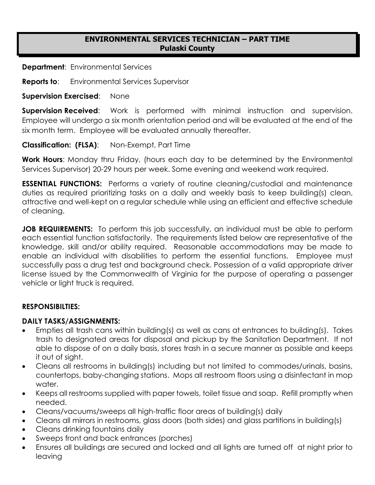# **ENVIRONMENTAL SERVICES TECHNICIAN – PART TIME Pulaski County**

**Department**: Environmental Services

**Reports to**: Environmental Services Supervisor

**Supervision Exercised**: None

**Supervision Received:** Work is performed with minimal instruction and supervision. Employee will undergo a six month orientation period and will be evaluated at the end of the six month term. Employee will be evaluated annually thereafter.

**Classification: (FLSA)**: Non-Exempt, Part Time

**Work Hours**: Monday thru Friday, (hours each day to be determined by the Environmental Services Supervisor) 20-29 hours per week. Some evening and weekend work required.

**ESSENTIAL FUNCTIONS:** Performs a variety of routine cleaning/custodial and maintenance duties as required prioritizing tasks on a daily and weekly basis to keep building(s) clean, attractive and well-kept on a regular schedule while using an efficient and effective schedule of cleaning.

**JOB REQUIREMENTS:** To perform this job successfully, an individual must be able to perform each essential function satisfactorily. The requirements listed below are representative of the knowledge, skill and/or ability required. Reasonable accommodations may be made to enable an individual with disabilities to perform the essential functions. Employee must successfully pass a drug test and background check. Possession of a valid appropriate driver license issued by the Commonwealth of Virginia for the purpose of operating a passenger vehicle or light truck is required.

### **RESPONSIBILTIES:**

### **DAILY TASKS/ASSIGNMENTS:**

- Empties all trash cans within building(s) as well as cans at entrances to building(s). Takes trash to designated areas for disposal and pickup by the Sanitation Department. If not able to dispose of on a daily basis, stores trash in a secure manner as possible and keeps it out of sight.
- Cleans all restrooms in building(s) including but not limited to commodes/urinals, basins, countertops, baby-changing stations. Mops all restroom floors using a disinfectant in mop water.
- Keeps all restrooms supplied with paper towels, toilet tissue and soap. Refill promptly when needed.
- Cleans/vacuums/sweeps all high-traffic floor areas of building(s) daily
- Cleans all mirrors in restrooms, glass doors (both sides) and glass partitions in building(s)
- Cleans drinking fountains daily
- Sweeps front and back entrances (porches)
- Ensures all buildings are secured and locked and all lights are turned off at night prior to leaving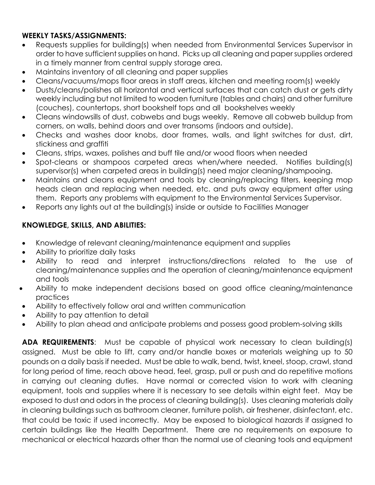# **WEEKLY TASKS/ASSIGNMENTS:**

- Requests supplies for building(s) when needed from Environmental Services Supervisor in order to have sufficient supplies on hand. Picks up all cleaning and paper supplies ordered in a timely manner from central supply storage area.
- Maintains inventory of all cleaning and paper supplies
- Cleans/vacuums/mops floor areas in staff areas, kitchen and meeting room(s) weekly
- Dusts/cleans/polishes all horizontal and vertical surfaces that can catch dust or gets dirty weekly including but not limited to wooden furniture (tables and chairs) and other furniture (couches), countertops, short bookshelf tops and all bookshelves weekly
- Cleans windowsills of dust, cobwebs and bugs weekly. Remove all cobweb buildup from corners, on walls, behind doors and over transoms (indoors and outside).
- Checks and washes door knobs, door frames, walls, and light switches for dust, dirt, stickiness and graffiti
- Cleans, strips, waxes, polishes and buff tile and/or wood floors when needed
- Spot-cleans or shampoos carpeted areas when/where needed. Notifies building(s) supervisor(s) when carpeted areas in building(s) need major cleaning/shampooing.
- Maintains and cleans equipment and tools by cleaning/replacing filters, keeping mop heads clean and replacing when needed, etc. and puts away equipment after using them. Reports any problems with equipment to the Environmental Services Supervisor.
- Reports any lights out at the building(s) inside or outside to Facilities Manager

# **KNOWLEDGE, SKILLS, AND ABILITIES:**

- Knowledge of relevant cleaning/maintenance equipment and supplies
- Ability to prioritize daily tasks
- Ability to read and interpret instructions/directions related to the use of cleaning/maintenance supplies and the operation of cleaning/maintenance equipment and tools
- Ability to make independent decisions based on good office cleaning/maintenance practices
- Ability to effectively follow oral and written communication
- Ability to pay attention to detail
- Ability to plan ahead and anticipate problems and possess good problem-solving skills

**ADA REQUIREMENTS**: Must be capable of physical work necessary to clean building(s) assigned. Must be able to lift, carry and/or handle boxes or materials weighing up to 50 pounds on a daily basis if needed. Must be able to walk, bend, twist, kneel, stoop, crawl, stand for long period of time, reach above head, feel, grasp, pull or push and do repetitive motions in carrying out cleaning duties. Have normal or corrected vision to work with cleaning equipment, tools and supplies where it is necessary to see details within eight feet. May be exposed to dust and odors in the process of cleaning building(s). Uses cleaning materials daily in cleaning buildings such as bathroom cleaner, furniture polish, air freshener, disinfectant, etc. that could be toxic if used incorrectly. May be exposed to biological hazards if assigned to certain buildings like the Health Department. There are no requirements on exposure to mechanical or electrical hazards other than the normal use of cleaning tools and equipment